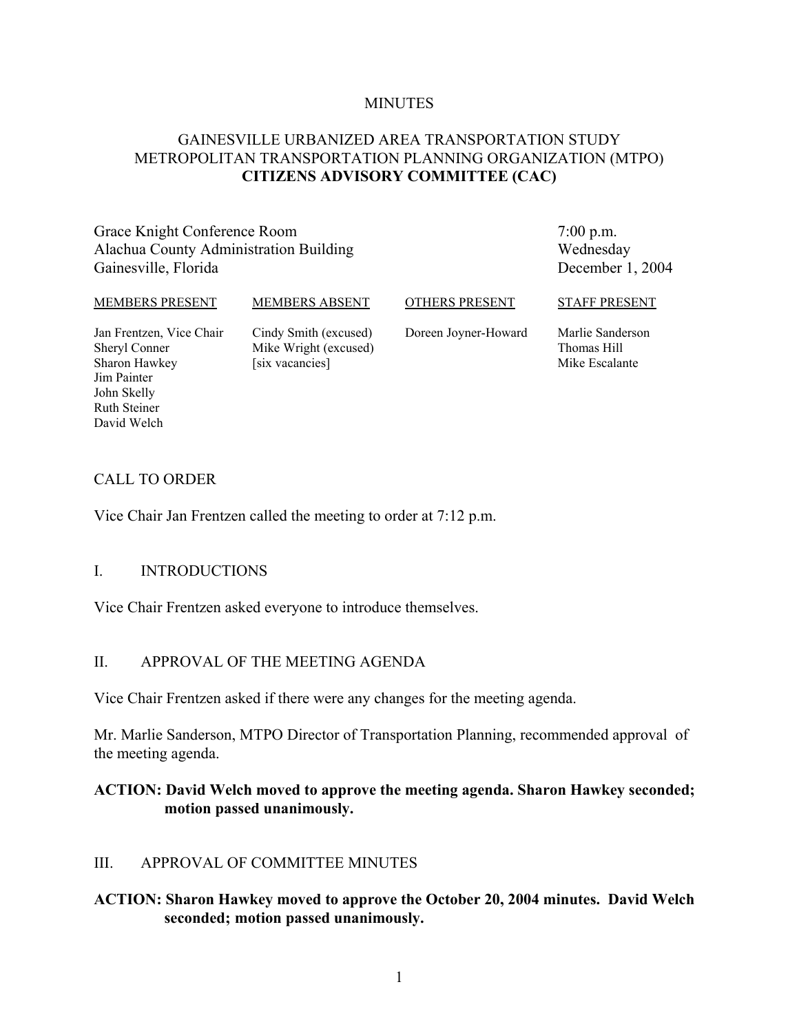#### **MINUTES**

### GAINESVILLE URBANIZED AREA TRANSPORTATION STUDY METROPOLITAN TRANSPORTATION PLANNING ORGANIZATION (MTPO) **CITIZENS ADVISORY COMMITTEE (CAC)**

Grace Knight Conference Room Alachua County Administration Building Gainesville, Florida

7:00 p.m. Wednesday December 1, 2004

#### MEMBERS PRESENT

MEMBERS ABSENT

OTHERS PRESENT

Jan Frentzen, Vice Chair Sheryl Conner Sharon Hawkey Jim Painter John Skelly Ruth Steiner David Welch

Cindy Smith (excused) Mike Wright (excused) [six vacancies]

Doreen Joyner-Howard

Marlie Sanderson Thomas Hill Mike Escalante

STAFF PRESENT

#### CALL TO ORDER

Vice Chair Jan Frentzen called the meeting to order at 7:12 p.m.

#### I. INTRODUCTIONS

Vice Chair Frentzen asked everyone to introduce themselves.

#### II. APPROVAL OF THE MEETING AGENDA

Vice Chair Frentzen asked if there were any changes for the meeting agenda.

Mr. Marlie Sanderson, MTPO Director of Transportation Planning, recommended approval of the meeting agenda.

#### **ACTION: David Welch moved to approve the meeting agenda. Sharon Hawkey seconded; motion passed unanimously.**

### III. APPROVAL OF COMMITTEE MINUTES

#### **ACTION: Sharon Hawkey moved to approve the October 20, 2004 minutes. David Welch seconded; motion passed unanimously.**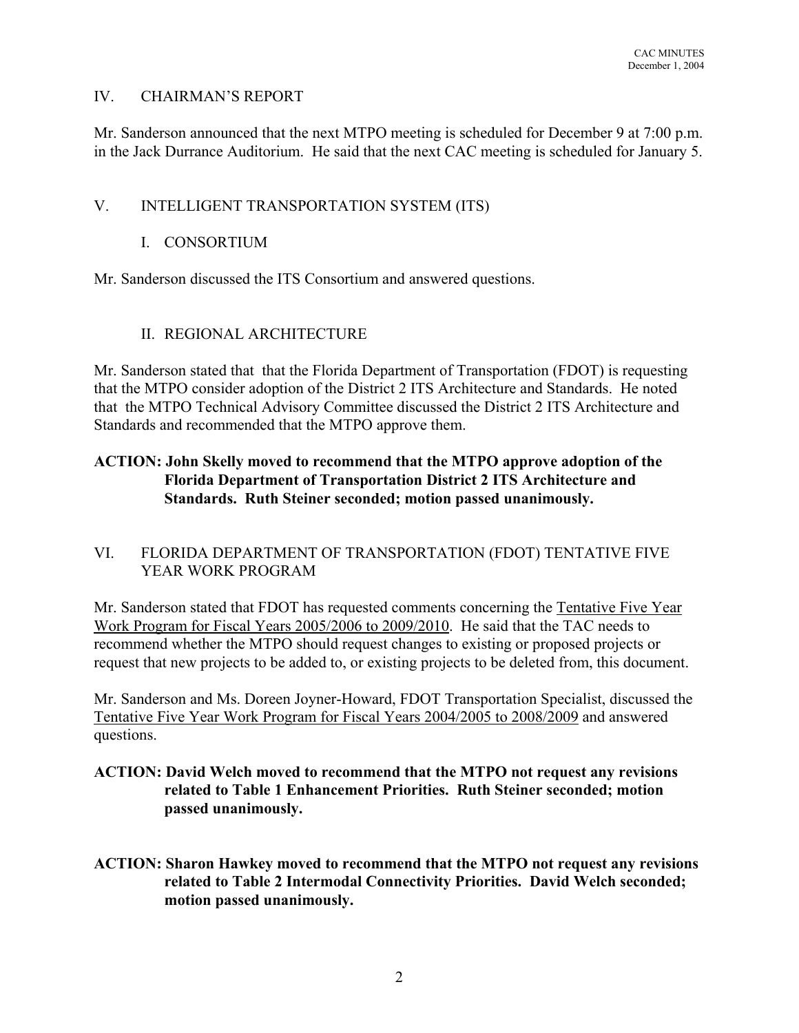### IV. CHAIRMAN'S REPORT

Mr. Sanderson announced that the next MTPO meeting is scheduled for December 9 at 7:00 p.m. in the Jack Durrance Auditorium. He said that the next CAC meeting is scheduled for January 5.

#### V. INTELLIGENT TRANSPORTATION SYSTEM (ITS)

#### I. CONSORTIUM

Mr. Sanderson discussed the ITS Consortium and answered questions.

### II. REGIONAL ARCHITECTURE

Mr. Sanderson stated that that the Florida Department of Transportation (FDOT) is requesting that the MTPO consider adoption of the District 2 ITS Architecture and Standards. He noted that the MTPO Technical Advisory Committee discussed the District 2 ITS Architecture and Standards and recommended that the MTPO approve them.

## **ACTION: John Skelly moved to recommend that the MTPO approve adoption of the Florida Department of Transportation District 2 ITS Architecture and Standards. Ruth Steiner seconded; motion passed unanimously.**

### VI. FLORIDA DEPARTMENT OF TRANSPORTATION (FDOT) TENTATIVE FIVE YEAR WORK PROGRAM

Mr. Sanderson stated that FDOT has requested comments concerning the Tentative Five Year Work Program for Fiscal Years 2005/2006 to 2009/2010. He said that the TAC needs to recommend whether the MTPO should request changes to existing or proposed projects or request that new projects to be added to, or existing projects to be deleted from, this document.

Mr. Sanderson and Ms. Doreen Joyner-Howard, FDOT Transportation Specialist, discussed the Tentative Five Year Work Program for Fiscal Years 2004/2005 to 2008/2009 and answered questions.

### **ACTION: David Welch moved to recommend that the MTPO not request any revisions related to Table 1 Enhancement Priorities. Ruth Steiner seconded; motion passed unanimously.**

**ACTION: Sharon Hawkey moved to recommend that the MTPO not request any revisions related to Table 2 Intermodal Connectivity Priorities. David Welch seconded; motion passed unanimously.**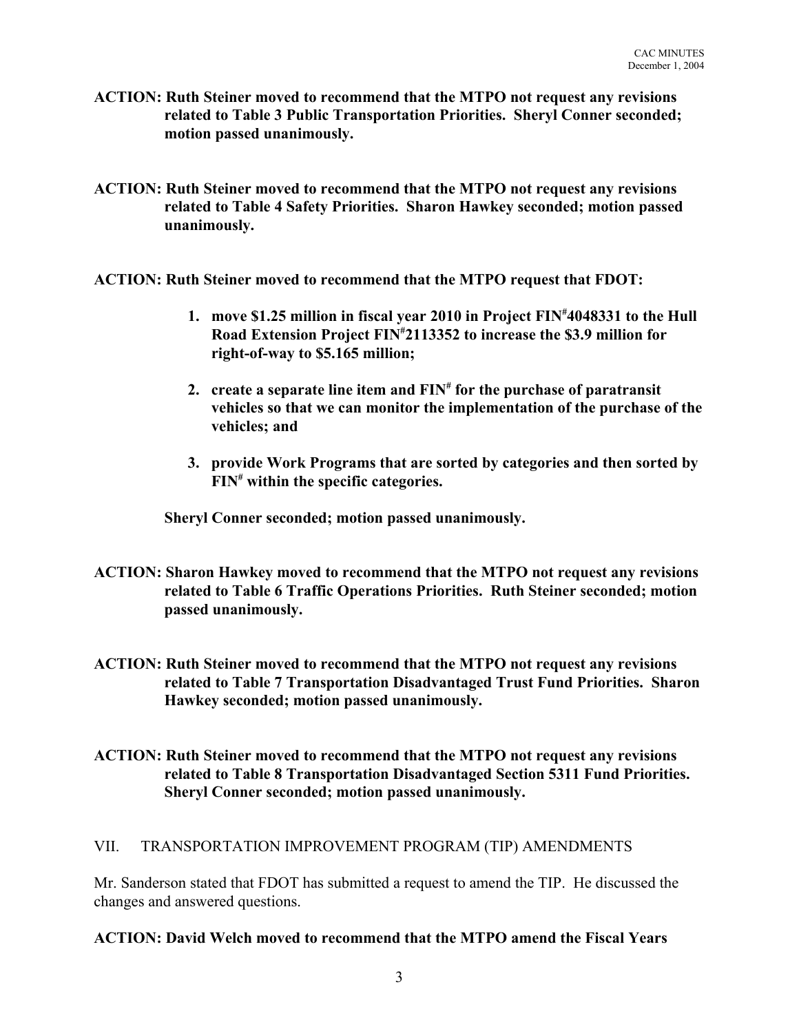- **ACTION: Ruth Steiner moved to recommend that the MTPO not request any revisions related to Table 3 Public Transportation Priorities. Sheryl Conner seconded; motion passed unanimously.**
- **ACTION: Ruth Steiner moved to recommend that the MTPO not request any revisions related to Table 4 Safety Priorities. Sharon Hawkey seconded; motion passed unanimously.**
- **ACTION: Ruth Steiner moved to recommend that the MTPO request that FDOT:**
	- **1. move \$1.25 million in fiscal year 2010 in Project FIN# 4048331 to the Hull Road Extension Project FIN# 2113352 to increase the \$3.9 million for right-of-way to \$5.165 million;**
	- **2. create a separate line item and FIN# for the purchase of paratransit vehicles so that we can monitor the implementation of the purchase of the vehicles; and**
	- **3. provide Work Programs that are sorted by categories and then sorted by FIN# within the specific categories.**

**Sheryl Conner seconded; motion passed unanimously.**

- **ACTION: Sharon Hawkey moved to recommend that the MTPO not request any revisions related to Table 6 Traffic Operations Priorities. Ruth Steiner seconded; motion passed unanimously.**
- **ACTION: Ruth Steiner moved to recommend that the MTPO not request any revisions related to Table 7 Transportation Disadvantaged Trust Fund Priorities. Sharon Hawkey seconded; motion passed unanimously.**
- **ACTION: Ruth Steiner moved to recommend that the MTPO not request any revisions related to Table 8 Transportation Disadvantaged Section 5311 Fund Priorities. Sheryl Conner seconded; motion passed unanimously.**

### VII. TRANSPORTATION IMPROVEMENT PROGRAM (TIP) AMENDMENTS

Mr. Sanderson stated that FDOT has submitted a request to amend the TIP. He discussed the changes and answered questions.

## **ACTION: David Welch moved to recommend that the MTPO amend the Fiscal Years**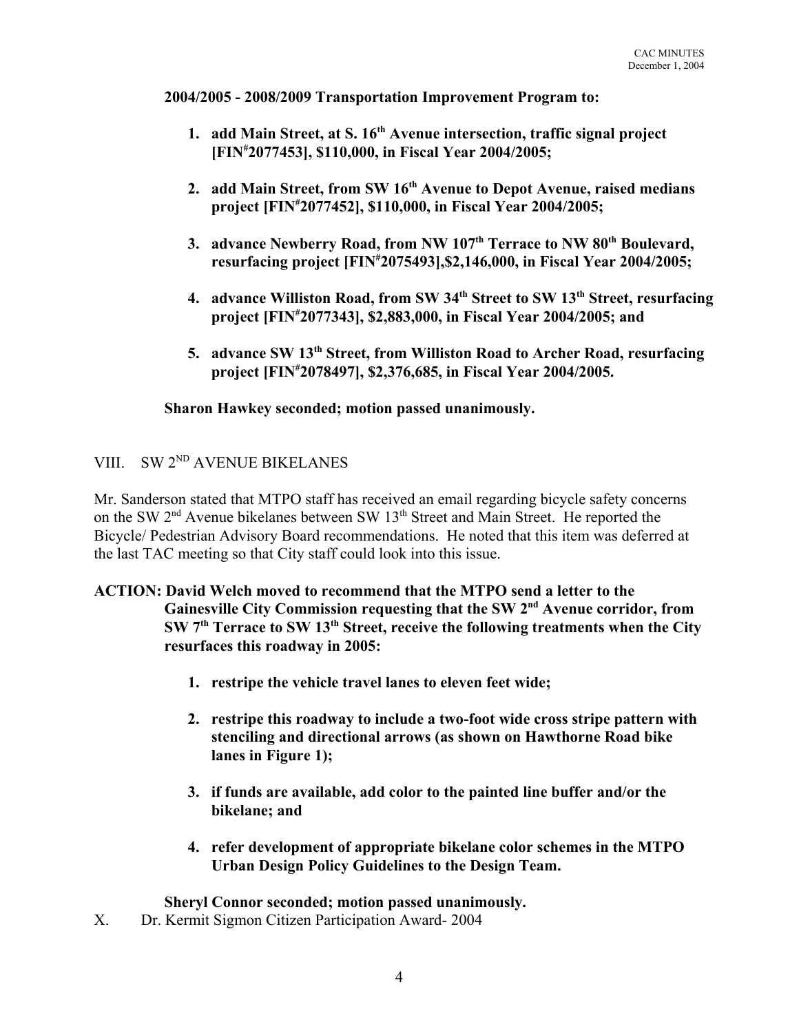**2004/2005 - 2008/2009 Transportation Improvement Program to:** 

- **1. add Main Street, at S. 16<sup>th</sup> Avenue intersection, traffic signal project [FIN# 2077453], \$110,000, in Fiscal Year 2004/2005;**
- **2. add Main Street, from SW 16th Avenue to Depot Avenue, raised medians project [FIN# 2077452], \$110,000, in Fiscal Year 2004/2005;**
- **3. advance Newberry Road, from NW 107th Terrace to NW 80th Boulevard, resurfacing project [FIN# 2075493],\$2,146,000, in Fiscal Year 2004/2005;**
- **4. advance Williston Road, from SW 34th Street to SW 13th Street, resurfacing project [FIN# 2077343], \$2,883,000, in Fiscal Year 2004/2005; and**
- **5. advance SW 13th Street, from Williston Road to Archer Road, resurfacing project [FIN# 2078497], \$2,376,685, in Fiscal Year 2004/2005.**

**Sharon Hawkey seconded; motion passed unanimously.**

# VIII. SW 2<sup>ND</sup> AVENUE BIKELANES

Mr. Sanderson stated that MTPO staff has received an email regarding bicycle safety concerns on the SW 2<sup>nd</sup> Avenue bikelanes between SW 13<sup>th</sup> Street and Main Street. He reported the Bicycle/ Pedestrian Advisory Board recommendations. He noted that this item was deferred at the last TAC meeting so that City staff could look into this issue.

### **ACTION: David Welch moved to recommend that the MTPO send a letter to the Gainesville City Commission requesting that the SW 2nd Avenue corridor, from SW 7th Terrace to SW 13th Street, receive the following treatments when the City resurfaces this roadway in 2005:**

- **1. restripe the vehicle travel lanes to eleven feet wide;**
- **2. restripe this roadway to include a two-foot wide cross stripe pattern with stenciling and directional arrows (as shown on Hawthorne Road bike lanes in Figure 1);**
- **3. if funds are available, add color to the painted line buffer and/or the bikelane; and**
- **4. refer development of appropriate bikelane color schemes in the MTPO Urban Design Policy Guidelines to the Design Team.**

**Sheryl Connor seconded; motion passed unanimously.**

X. Dr. Kermit Sigmon Citizen Participation Award- 2004